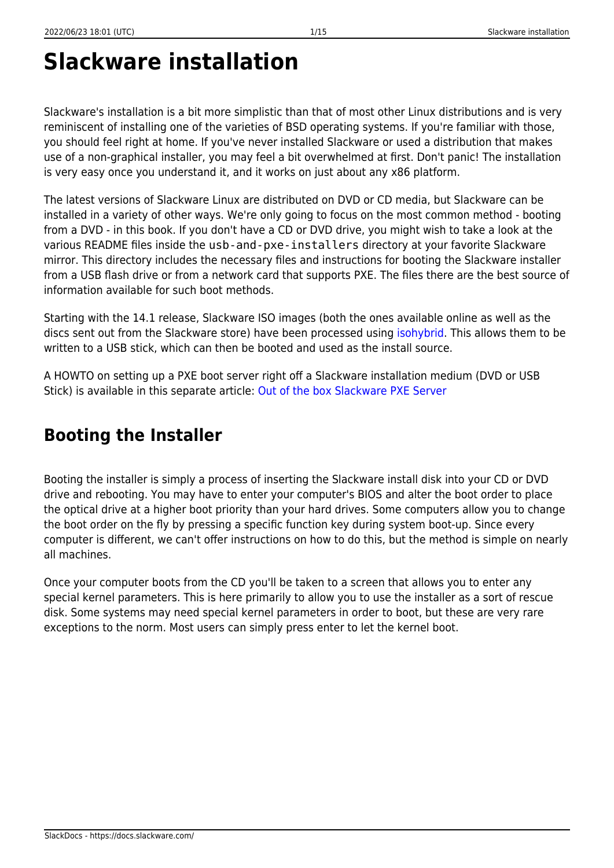# **Slackware installation**

Slackware's installation is a bit more simplistic than that of most other Linux distributions and is very reminiscent of installing one of the varieties of BSD operating systems. If you're familiar with those, you should feel right at home. If you've never installed Slackware or used a distribution that makes use of a non-graphical installer, you may feel a bit overwhelmed at first. Don't panic! The installation is very easy once you understand it, and it works on just about any x86 platform.

The latest versions of Slackware Linux are distributed on DVD or CD media, but Slackware can be installed in a variety of other ways. We're only going to focus on the most common method - booting from a DVD - in this book. If you don't have a CD or DVD drive, you might wish to take a look at the various README files inside the usb-and-pxe-installers directory at your favorite Slackware mirror. This directory includes the necessary files and instructions for booting the Slackware installer from a USB flash drive or from a network card that supports PXE. The files there are the best source of information available for such boot methods.

Starting with the 14.1 release, Slackware ISO images (both the ones available online as well as the discs sent out from the Slackware store) have been processed using [isohybrid.](http://www.syslinux.org/wiki/index.php/Doc/isolinux#HYBRID_CD-ROM.2FHARD_DISK_MODE) This allows them to be written to a USB stick, which can then be booted and used as the install source.

A HOWTO on setting up a PXE boot server right off a Slackware installation medium (DVD or USB Stick) is available in this separate article: [Out of the box Slackware PXE Server](https://docs.slackware.com/slackware:pxe_install)

# **Booting the Installer**

Booting the installer is simply a process of inserting the Slackware install disk into your CD or DVD drive and rebooting. You may have to enter your computer's BIOS and alter the boot order to place the optical drive at a higher boot priority than your hard drives. Some computers allow you to change the boot order on the fly by pressing a specific function key during system boot-up. Since every computer is different, we can't offer instructions on how to do this, but the method is simple on nearly all machines.

Once your computer boots from the CD you'll be taken to a screen that allows you to enter any special kernel parameters. This is here primarily to allow you to use the installer as a sort of rescue disk. Some systems may need special kernel parameters in order to boot, but these are very rare exceptions to the norm. Most users can simply press enter to let the kernel boot.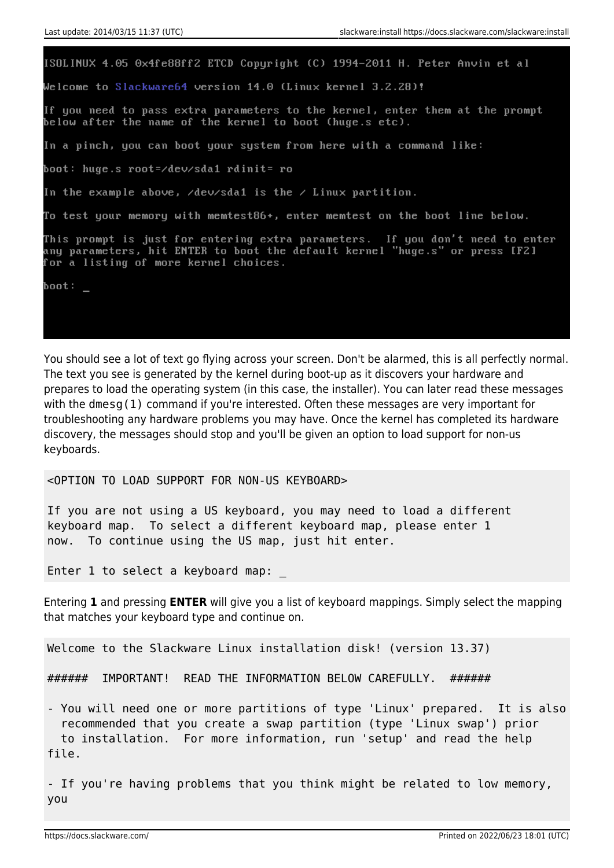ISOLINUX 4.05 0x4fe88ff2 ETCD Copyright (C) 1994-2011 H. Peter Anvin et al Welcome to Slackware64 version 14.0 (Linux kernel 3.2.28)! If you need to pass extra parameters to the kernel, enter them at the prompt below after the name of the kernel to boot (huge.s etc). In a pinch, you can boot your system from here with a command like: boot: huge.s root=/dev/sda1 rdinit= ro In the example above,  $\sqrt{d}$ ev $\sqrt{d}$ a1 is the  $\sqrt{d}$  Linux partition. To test your memory with memtest86+, enter memtest on the boot line below. This prompt is just for entering extra parameters. If you don't need to enter any parameters, hit ENTER to boot the default kernel "huge.s" or press [F2] for a listing of more kernel choices. boot:  $\overline{\phantom{0}}$ 

You should see a lot of text go flying across your screen. Don't be alarmed, this is all perfectly normal. The text you see is generated by the kernel during boot-up as it discovers your hardware and prepares to load the operating system (in this case, the installer). You can later read these messages with the dmesg(1) command if you're interested. Often these messages are very important for troubleshooting any hardware problems you may have. Once the kernel has completed its hardware discovery, the messages should stop and you'll be given an option to load support for non-us keyboards.

<OPTION TO LOAD SUPPORT FOR NON-US KEYBOARD>

If you are not using a US keyboard, you may need to load a different keyboard map. To select a different keyboard map, please enter 1 now. To continue using the US map, just hit enter.

Enter 1 to select a keyboard map:

Entering **1** and pressing **ENTER** will give you a list of keyboard mappings. Simply select the mapping that matches your keyboard type and continue on.

Welcome to the Slackware Linux installation disk! (version 13.37)

###### IMPORTANT! READ THE INFORMATION BELOW CAREFULLY. ######

- You will need one or more partitions of type 'Linux' prepared. It is also recommended that you create a swap partition (type 'Linux swap') prior to installation. For more information, run 'setup' and read the help file.

- If you're having problems that you think might be related to low memory, you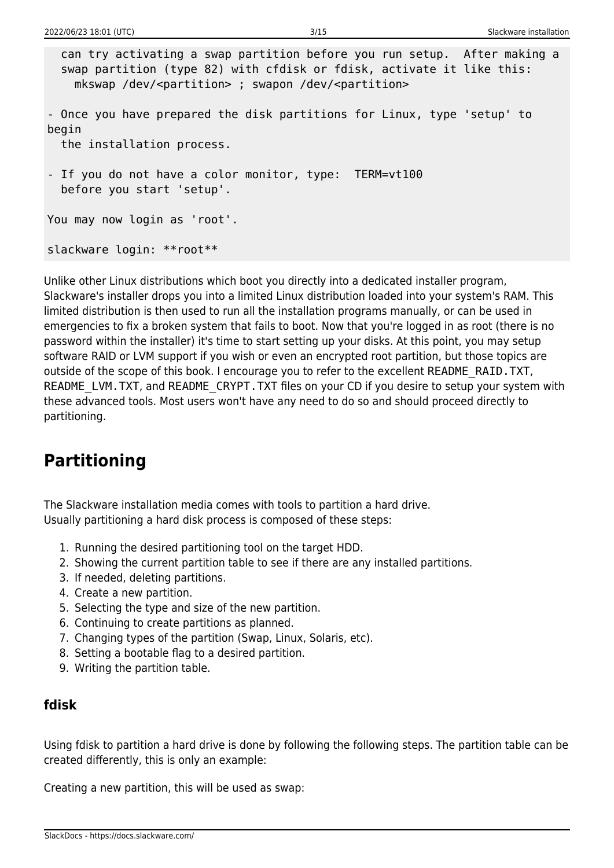```
 can try activating a swap partition before you run setup. After making a
   swap partition (type 82) with cfdisk or fdisk, activate it like this:
     mkswap /dev/<partition> ; swapon /dev/<partition>
- Once you have prepared the disk partitions for Linux, type 'setup' to
begin
   the installation process.
- If you do not have a color monitor, type: TERM=vt100
   before you start 'setup'.
You may now login as 'root'.
slackware login: **root**
```
Unlike other Linux distributions which boot you directly into a dedicated installer program, Slackware's installer drops you into a limited Linux distribution loaded into your system's RAM. This limited distribution is then used to run all the installation programs manually, or can be used in emergencies to fix a broken system that fails to boot. Now that you're logged in as root (there is no password within the installer) it's time to start setting up your disks. At this point, you may setup software RAID or LVM support if you wish or even an encrypted root partition, but those topics are outside of the scope of this book. I encourage you to refer to the excellent README\_RAID.TXT, README\_LVM.TXT, and README\_CRYPT.TXT files on your CD if you desire to setup your system with these advanced tools. Most users won't have any need to do so and should proceed directly to partitioning.

# **Partitioning**

The Slackware installation media comes with tools to partition a hard drive. Usually partitioning a hard disk process is composed of these steps:

- 1. Running the desired partitioning tool on the target HDD.
- 2. Showing the current partition table to see if there are any installed partitions.
- 3. If needed, deleting partitions.
- 4. Create a new partition.
- 5. Selecting the type and size of the new partition.
- 6. Continuing to create partitions as planned.
- 7. Changing types of the partition (Swap, Linux, Solaris, etc).
- 8. Setting a bootable flag to a desired partition.
- 9. Writing the partition table.

#### **fdisk**

Using fdisk to partition a hard drive is done by following the following steps. The partition table can be created differently, this is only an example:

Creating a new partition, this will be used as swap: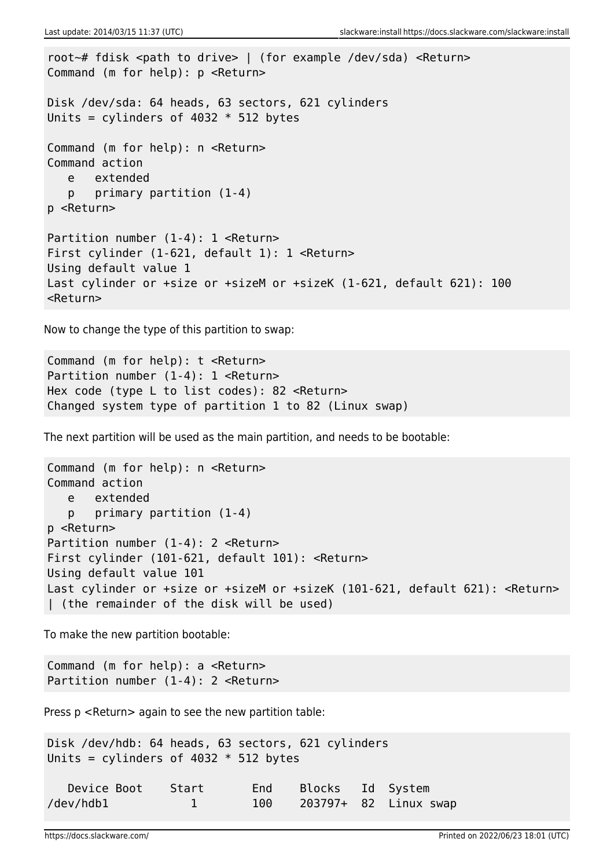```
root~# fdisk <path to drive> | (for example /dev/sda) <Return>
Command (m for help): p <Return>
Disk /dev/sda: 64 heads, 63 sectors, 621 cylinders
Units = cylinders of 4032 * 512 bytes
Command (m for help): n <Return>
Command action
    e extended
    p primary partition (1-4)
p <Return>
Partition number (1-4): 1 <Return>
First cylinder (1-621, default 1): 1 <Return>
Using default value 1
Last cylinder or +size or +sizeM or +sizeK (1-621, default 621): 100
<Return>
```
Now to change the type of this partition to swap:

```
Command (m for help): t <Return>
Partition number (1-4): 1 <Return>
Hex code (type L to list codes): 82 <Return>
Changed system type of partition 1 to 82 (Linux swap)
```
The next partition will be used as the main partition, and needs to be bootable:

```
Command (m for help): n <Return>
Command action
   e extended
   p primary partition (1-4)
p <Return>
Partition number (1-4): 2 <Return>
First cylinder (101-621, default 101): <Return>
Using default value 101
Last cylinder or +size or +sizeM or +sizeK (101-621, default 621): <Return>
| (the remainder of the disk will be used)
```
To make the new partition bootable:

Command (m for help): a <Return> Partition number (1-4): 2 <Return>

Press p <Return> again to see the new partition table:

Disk /dev/hdb: 64 heads, 63 sectors, 621 cylinders Units = cylinders of  $4032 * 512$  bytes

| Device Boot Start |       | End Blocks Id System |                       |
|-------------------|-------|----------------------|-----------------------|
| /dev/hdb1         | 100 - |                      | 203797+ 82 Linux swap |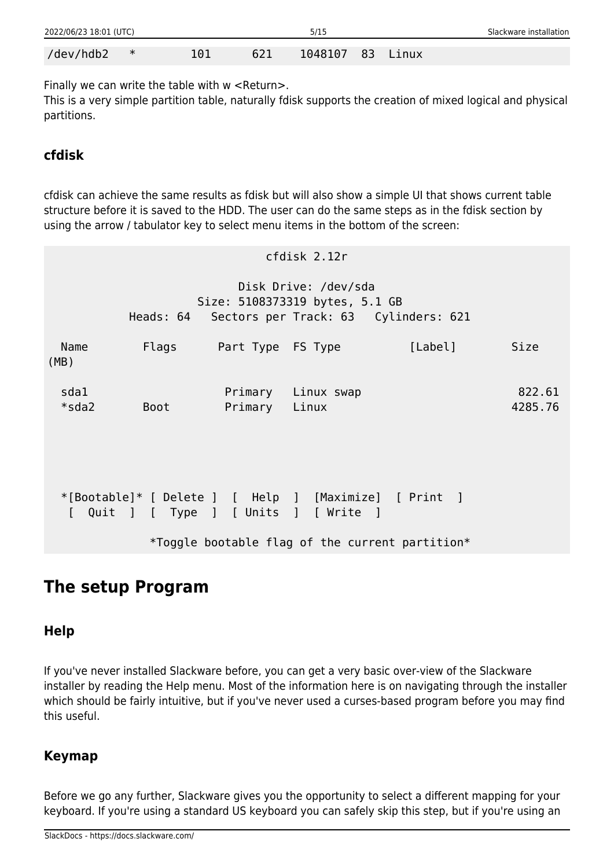| 2022/06/23 18:01 (UTC) |        |     |     | 5/15       |       | Slackware installation |
|------------------------|--------|-----|-----|------------|-------|------------------------|
| /dev/hdb2              | $\ast$ | 101 | 621 | 1048107 83 | Linux |                        |

Finally we can write the table with w <Return>.

This is a very simple partition table, naturally fdisk supports the creation of mixed logical and physical partitions.

### **cfdisk**

cfdisk can achieve the same results as fdisk but will also show a simple UI that shows current table structure before it is saved to the HDD. The user can do the same steps as in the fdisk section by using the arrow / tabulator key to select menu items in the bottom of the screen:

|                  |      |                         | cfdisk 2.12r                                           |                                                                                                          |                   |
|------------------|------|-------------------------|--------------------------------------------------------|----------------------------------------------------------------------------------------------------------|-------------------|
|                  |      |                         | Disk Drive: /dev/sda<br>Size: 5108373319 bytes, 5.1 GB | Heads: 64 Sectors per Track: 63 Cylinders: 621                                                           |                   |
| Name<br>(MB)     |      | Flags Part Type FS Type |                                                        | [Label]                                                                                                  | Size              |
| sda1<br>$*$ sda2 | Boot | Primary Linux           | Primary Linux swap                                     |                                                                                                          | 822.61<br>4285.76 |
| $\mathbf{L}$     |      |                         | Quit ] [ Type ] [ Units ] [ Write ]                    | *[Bootable]* [ Delete ] [ Help ] [Maximize] [ Print ]<br>*Toggle bootable flag of the current partition* |                   |
|                  |      |                         |                                                        |                                                                                                          |                   |

# **The setup Program**

### **Help**

If you've never installed Slackware before, you can get a very basic over-view of the Slackware installer by reading the Help menu. Most of the information here is on navigating through the installer which should be fairly intuitive, but if you've never used a curses-based program before you may find this useful.

### **Keymap**

Before we go any further, Slackware gives you the opportunity to select a different mapping for your keyboard. If you're using a standard US keyboard you can safely skip this step, but if you're using an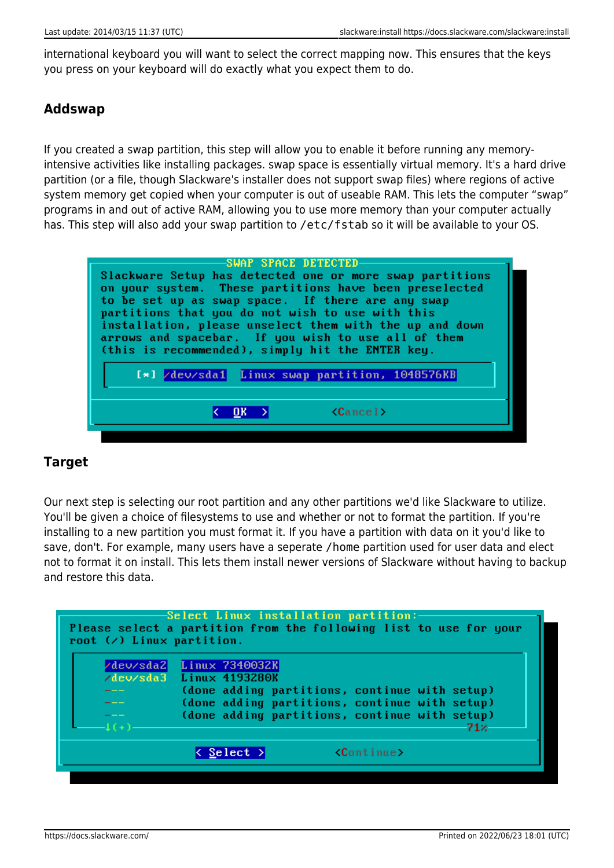international keyboard you will want to select the correct mapping now. This ensures that the keys you press on your keyboard will do exactly what you expect them to do.

#### **Addswap**

If you created a swap partition, this step will allow you to enable it before running any memoryintensive activities like installing packages. swap space is essentially virtual memory. It's a hard drive partition (or a file, though Slackware's installer does not support swap files) where regions of active system memory get copied when your computer is out of useable RAM. This lets the computer "swap" programs in and out of active RAM, allowing you to use more memory than your computer actually has. This step will also add your swap partition to /etc/fstab so it will be available to your OS.



#### **Target**

Our next step is selecting our root partition and any other partitions we'd like Slackware to utilize. You'll be given a choice of filesystems to use and whether or not to format the partition. If you're installing to a new partition you must format it. If you have a partition with data on it you'd like to save, don't. For example, many users have a seperate /home partition used for user data and elect not to format it on install. This lets them install newer versions of Slackware without having to backup and restore this data.

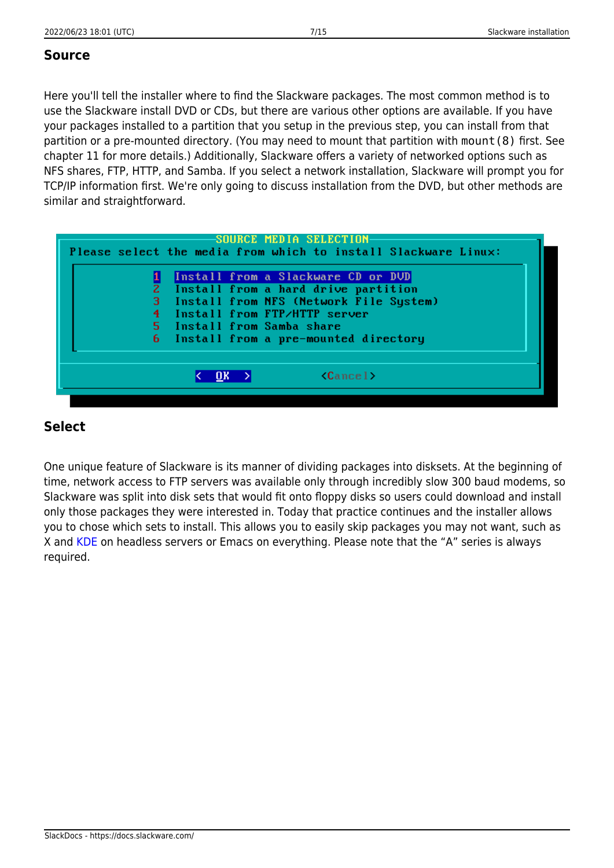#### **Source**

Here you'll tell the installer where to find the Slackware packages. The most common method is to use the Slackware install DVD or CDs, but there are various other options are available. If you have your packages installed to a partition that you setup in the previous step, you can install from that partition or a pre-mounted directory. (You may need to mount that partition with mount(8) first. See chapter 11 for more details.) Additionally, Slackware offers a variety of networked options such as NFS shares, FTP, HTTP, and Samba. If you select a network installation, Slackware will prompt you for TCP/IP information first. We're only going to discuss installation from the DVD, but other methods are similar and straightforward.

| SOURCE MEDIA SELECTION<br>Please select the media from which to install Slackware Linux: |
|------------------------------------------------------------------------------------------|
|                                                                                          |
| Install from a Slackware CD or DUD                                                       |
| Install from a hard drive partition                                                      |
| 3 Install from NFS (Network File System)                                                 |
| 4 Install from FTP/HTTP server                                                           |
| 5 Install from Samba share                                                               |
| 6 Install from a pre-mounted directory                                                   |
|                                                                                          |
| $\langle$ Cancel $\rangle$<br>UК                                                         |
|                                                                                          |

#### **Select**

One unique feature of Slackware is its manner of dividing packages into disksets. At the beginning of time, network access to FTP servers was available only through incredibly slow 300 baud modems, so Slackware was split into disk sets that would fit onto floppy disks so users could download and install only those packages they were interested in. Today that practice continues and the installer allows you to chose which sets to install. This allows you to easily skip packages you may not want, such as X and [KDE](https://docs.slackware.com/slackware:kde) on headless servers or Emacs on everything. Please note that the "A" series is always required.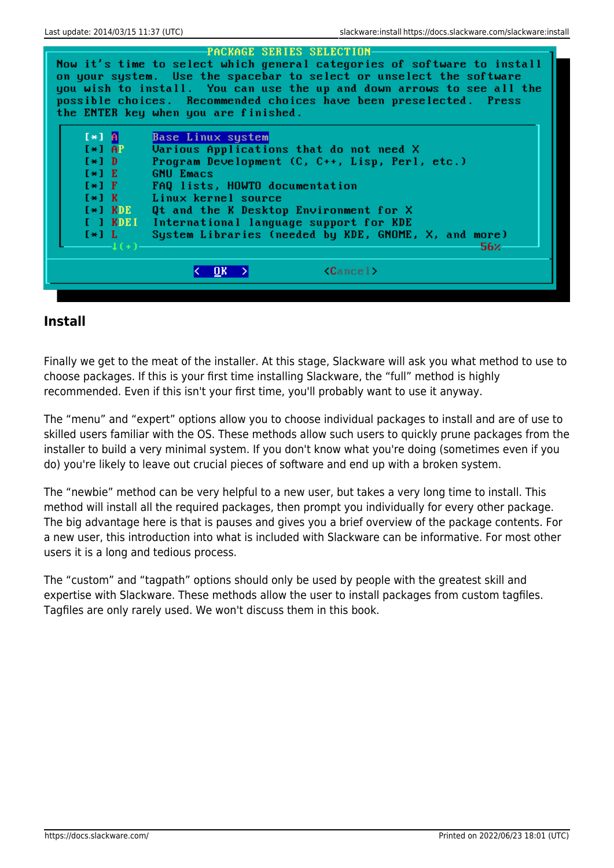

#### **Install**

Finally we get to the meat of the installer. At this stage, Slackware will ask you what method to use to choose packages. If this is your first time installing Slackware, the "full" method is highly recommended. Even if this isn't your first time, you'll probably want to use it anyway.

The "menu" and "expert" options allow you to choose individual packages to install and are of use to skilled users familiar with the OS. These methods allow such users to quickly prune packages from the installer to build a very minimal system. If you don't know what you're doing (sometimes even if you do) you're likely to leave out crucial pieces of software and end up with a broken system.

The "newbie" method can be very helpful to a new user, but takes a very long time to install. This method will install all the required packages, then prompt you individually for every other package. The big advantage here is that is pauses and gives you a brief overview of the package contents. For a new user, this introduction into what is included with Slackware can be informative. For most other users it is a long and tedious process.

The "custom" and "tagpath" options should only be used by people with the greatest skill and expertise with Slackware. These methods allow the user to install packages from custom tagfiles. Tagfiles are only rarely used. We won't discuss them in this book.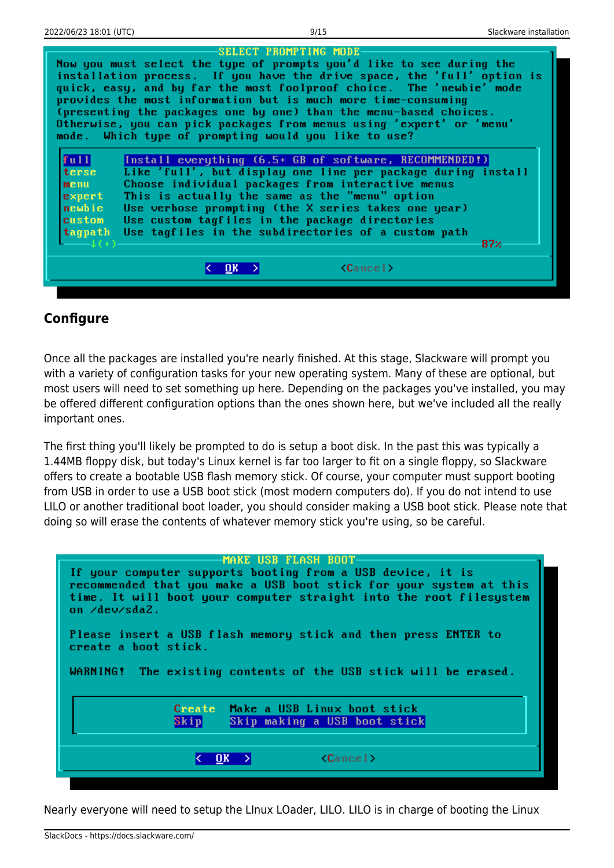|         | SELECT PROMPTING MODE                                                   |
|---------|-------------------------------------------------------------------------|
|         | Now you must select the type of prompts you'd like to see during the    |
|         | installation process. If you have the drive space, the 'full' option is |
|         | quick, easy, and by far the most foolproof choice. The 'newbie' mode    |
|         | provides the most information but is much more time-consuming           |
|         |                                                                         |
|         | (presenting the packages one by one) than the menu-based choices.       |
|         | Otherwise, you can pick packages from menus using 'expert' or 'menu'    |
|         | mode. Which type of prompting would you like to use?                    |
|         |                                                                         |
| full    | Install everything (6.5+ GB of software, RECOMMENDED!)                  |
| terse   | Like 'full', but display one line per package during install            |
| menu    | Choose individual packages from interactive menus                       |
| expert  | This is actually the same as the "menu" option                          |
| newbie  | Use verbose prompting (the X series takes one year)                     |
| custom  | Use custom tagfiles in the package directories                          |
|         |                                                                         |
| tagpath | Use tagfiles in the subdirectories of a custom path                     |
|         | 87%                                                                     |
|         |                                                                         |
|         | $\langle$ Cancel $\rangle$<br>OK                                        |
|         |                                                                         |
|         |                                                                         |

#### **Configure**

Once all the packages are installed you're nearly finished. At this stage, Slackware will prompt you with a variety of configuration tasks for your new operating system. Many of these are optional, but most users will need to set something up here. Depending on the packages you've installed, you may be offered different configuration options than the ones shown here, but we've included all the really important ones.

The first thing you'll likely be prompted to do is setup a boot disk. In the past this was typically a 1.44MB floppy disk, but today's Linux kernel is far too larger to fit on a single floppy, so Slackware offers to create a bootable USB flash memory stick. Of course, your computer must support booting from USB in order to use a USB boot stick (most modern computers do). If you do not intend to use LILO or another traditional boot loader, you should consider making a USB boot stick. Please note that doing so will erase the contents of whatever memory stick you're using, so be careful.

#### **MAKE USB FLASH BOOT**

If your computer supports booting from a USB device, it is recommended that you make a USB boot stick for your system at this time. It will boot your computer straight into the root filesystem on ⁄de∪⁄sda2. Please insert a USB flash memory stick and then press ENTER to create a boot stick. WARNING! The existing contents of the USB stick will be erased. **Create** Make a USB Linux boot stick  $\mathbf{Skip}$ Skip making a USB boot stick  $\langle$ Cancel $\rangle$  $\overline{0}$ K > K.

Nearly everyone will need to setup the LInux LOader, LILO. LILO is in charge of booting the Linux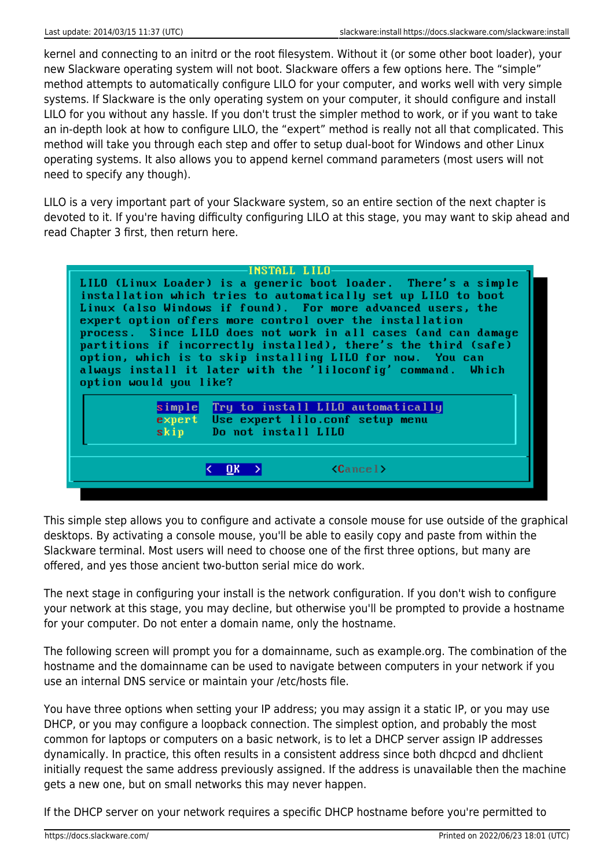kernel and connecting to an initrd or the root filesystem. Without it (or some other boot loader), your new Slackware operating system will not boot. Slackware offers a few options here. The "simple" method attempts to automatically configure LILO for your computer, and works well with very simple systems. If Slackware is the only operating system on your computer, it should configure and install LILO for you without any hassle. If you don't trust the simpler method to work, or if you want to take an in-depth look at how to configure LILO, the "expert" method is really not all that complicated. This method will take you through each step and offer to setup dual-boot for Windows and other Linux operating systems. It also allows you to append kernel command parameters (most users will not need to specify any though).

LILO is a very important part of your Slackware system, so an entire section of the next chapter is devoted to it. If you're having difficulty configuring LILO at this stage, you may want to skip ahead and read Chapter 3 first, then return here.



This simple step allows you to configure and activate a console mouse for use outside of the graphical desktops. By activating a console mouse, you'll be able to easily copy and paste from within the Slackware terminal. Most users will need to choose one of the first three options, but many are offered, and yes those ancient two-button serial mice do work.

The next stage in configuring your install is the network configuration. If you don't wish to configure your network at this stage, you may decline, but otherwise you'll be prompted to provide a hostname for your computer. Do not enter a domain name, only the hostname.

The following screen will prompt you for a domainname, such as example.org. The combination of the hostname and the domainname can be used to navigate between computers in your network if you use an internal DNS service or maintain your /etc/hosts file.

You have three options when setting your IP address; you may assign it a static IP, or you may use DHCP, or you may configure a loopback connection. The simplest option, and probably the most common for laptops or computers on a basic network, is to let a DHCP server assign IP addresses dynamically. In practice, this often results in a consistent address since both dhcpcd and dhclient initially request the same address previously assigned. If the address is unavailable then the machine gets a new one, but on small networks this may never happen.

If the DHCP server on your network requires a specific DHCP hostname before you're permitted to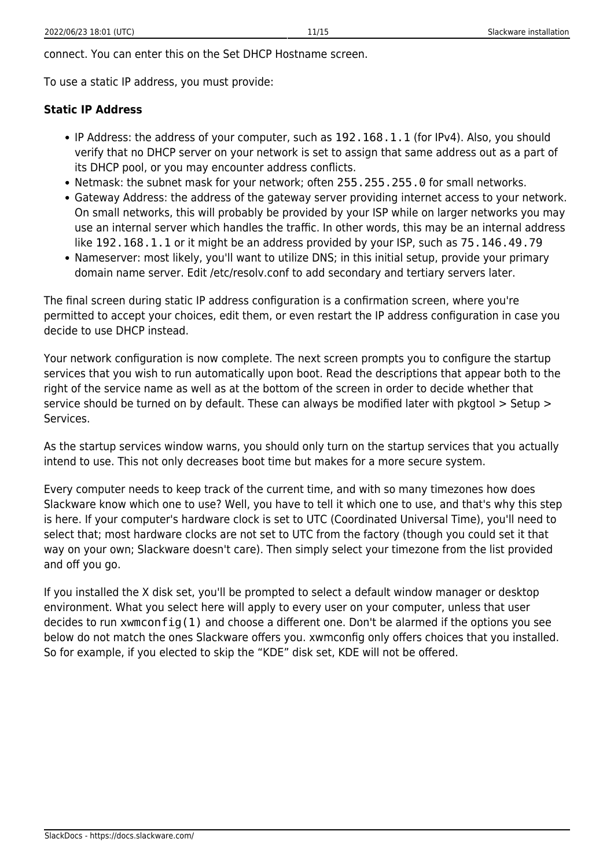To use a static IP address, you must provide:

#### **Static IP Address**

- IP Address: the address of your computer, such as 192.168.1.1 (for IPv4). Also, you should verify that no DHCP server on your network is set to assign that same address out as a part of its DHCP pool, or you may encounter address conflicts.
- Netmask: the subnet mask for your network; often 255.255.255.0 for small networks.
- Gateway Address: the address of the gateway server providing internet access to your network. On small networks, this will probably be provided by your ISP while on larger networks you may use an internal server which handles the traffic. In other words, this may be an internal address like 192.168.1.1 or it might be an address provided by your ISP, such as 75.146.49.79
- Nameserver: most likely, you'll want to utilize DNS; in this initial setup, provide your primary domain name server. Edit /etc/resolv.conf to add secondary and tertiary servers later.

The final screen during static IP address configuration is a confirmation screen, where you're permitted to accept your choices, edit them, or even restart the IP address configuration in case you decide to use DHCP instead.

Your network configuration is now complete. The next screen prompts you to configure the startup services that you wish to run automatically upon boot. Read the descriptions that appear both to the right of the service name as well as at the bottom of the screen in order to decide whether that service should be turned on by default. These can always be modified later with pkgtool > Setup > Services.

As the startup services window warns, you should only turn on the startup services that you actually intend to use. This not only decreases boot time but makes for a more secure system.

Every computer needs to keep track of the current time, and with so many timezones how does Slackware know which one to use? Well, you have to tell it which one to use, and that's why this step is here. If your computer's hardware clock is set to UTC (Coordinated Universal Time), you'll need to select that; most hardware clocks are not set to UTC from the factory (though you could set it that way on your own; Slackware doesn't care). Then simply select your timezone from the list provided and off you go.

If you installed the X disk set, you'll be prompted to select a default window manager or desktop environment. What you select here will apply to every user on your computer, unless that user decides to run xwmconfig(1) and choose a different one. Don't be alarmed if the options you see below do not match the ones Slackware offers you. xwmconfig only offers choices that you installed. So for example, if you elected to skip the "KDE" disk set, KDE will not be offered.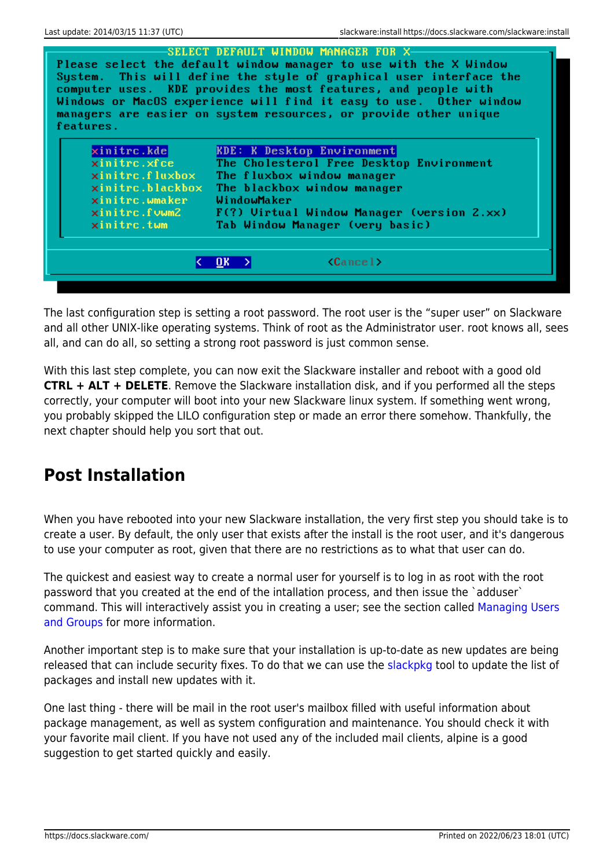| features.                                                          | Please select the default window manager to use with the X Window<br>System. This will define the style of graphical user interface the<br>computer uses. KDE provides the most features, and people with<br>Windows or MacOS experience will find it easy to use. Other window<br>managers are easier on system resources, or provide other unique |
|--------------------------------------------------------------------|-----------------------------------------------------------------------------------------------------------------------------------------------------------------------------------------------------------------------------------------------------------------------------------------------------------------------------------------------------|
| xinitrc.kde<br>xinitrc.xfce                                        | <b>KDE: K Desktop Environment</b><br>The Cholesterol Free Desktop Environment                                                                                                                                                                                                                                                                       |
| $\boldsymbol{\mathsf{x}}$ initrc.flu $\boldsymbol{\mathsf{x}}$ box | The fluxbox window manager                                                                                                                                                                                                                                                                                                                          |
| xinitrc.blackbox                                                   | The blackbox window manager                                                                                                                                                                                                                                                                                                                         |
| $\mathsf{x}\mathsf{initrc}$ .wma $\mathsf{ker}$                    | WindowMaker                                                                                                                                                                                                                                                                                                                                         |
| xinitrc.fvwm2                                                      | F(?) Uirtual Window Manager (version 2.xx)                                                                                                                                                                                                                                                                                                          |
| xinitrc.twm                                                        | Tab Window Manager (very basic)                                                                                                                                                                                                                                                                                                                     |
|                                                                    |                                                                                                                                                                                                                                                                                                                                                     |
|                                                                    |                                                                                                                                                                                                                                                                                                                                                     |

The last configuration step is setting a root password. The root user is the "super user" on Slackware and all other UNIX-like operating systems. Think of root as the Administrator user. root knows all, sees all, and can do all, so setting a strong root password is just common sense.

With this last step complete, you can now exit the Slackware installer and reboot with a good old **CTRL + ALT + DELETE**. Remove the Slackware installation disk, and if you performed all the steps correctly, your computer will boot into your new Slackware linux system. If something went wrong, you probably skipped the LILO configuration step or made an error there somehow. Thankfully, the next chapter should help you sort that out.

# **Post Installation**

When you have rebooted into your new Slackware installation, the very first step you should take is to create a user. By default, the only user that exists after the install is the root user, and it's dangerous to use your computer as root, given that there are no restrictions as to what that user can do.

The quickest and easiest way to create a normal user for yourself is to log in as root with the root password that you created at the end of the intallation process, and then issue the `adduser` command. This will interactively assist you in creating a user; see the section called [Managing Users](https://docs.slackware.com/slackbook:users) [and Groups](https://docs.slackware.com/slackbook:users) for more information.

Another important step is to make sure that your installation is up-to-date as new updates are being released that can include security fixes. To do that we can use the [slackpkg](https://docs.slackware.com/slackware:slackpkg) tool to update the list of packages and install new updates with it.

One last thing - there will be mail in the root user's mailbox filled with useful information about package management, as well as system configuration and maintenance. You should check it with your favorite mail client. If you have not used any of the included mail clients, alpine is a good suggestion to get started quickly and easily.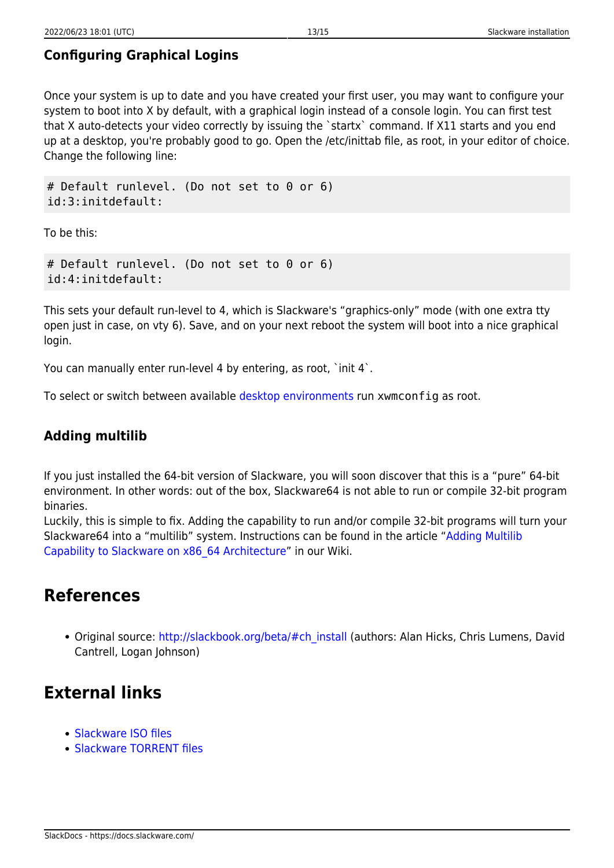### **Configuring Graphical Logins**

Once your system is up to date and you have created your first user, you may want to configure your system to boot into X by default, with a graphical login instead of a console login. You can first test that X auto-detects your video correctly by issuing the `startx` command. If X11 starts and you end up at a desktop, you're probably good to go. Open the /etc/inittab file, as root, in your editor of choice. Change the following line:

# Default runlevel. (Do not set to 0 or 6) id:3:initdefault:

To be this:

```
# Default runlevel. (Do not set to 0 or 6)
id:4:initdefault:
```
This sets your default run-level to 4, which is Slackware's "graphics-only" mode (with one extra tty open just in case, on vty 6). Save, and on your next reboot the system will boot into a nice graphical login.

You can manually enter run-level 4 by entering, as root, 'init 4'.

To select or switch between available [desktop environments](https://docs.slackware.com/slackware:desktop_environment) run xwmconfig as root.

#### **Adding multilib**

If you just installed the 64-bit version of Slackware, you will soon discover that this is a "pure" 64-bit environment. In other words: out of the box, Slackware64 is not able to run or compile 32-bit program binaries.

Luckily, this is simple to fix. Adding the capability to run and/or compile 32-bit programs will turn your Slackware64 into a "multilib" system. Instructions can be found in the article "[Adding Multilib](https://docs.slackware.com/slackware:multilib) [Capability to Slackware on x86\\_64 Architecture"](https://docs.slackware.com/slackware:multilib) in our Wiki.

# **References**

• Original source: [http://slackbook.org/beta/#ch\\_install](http://slackbook.org/beta/#ch_install) (authors: Alan Hicks, Chris Lumens, David Cantrell, Logan Johnson)

# **External links**

- [Slackware ISO files](ftp://ftp.slackware.com/pub/slackware-iso/)
- [Slackware TORRENT files](http://slackware.com/getslack/torrents.php)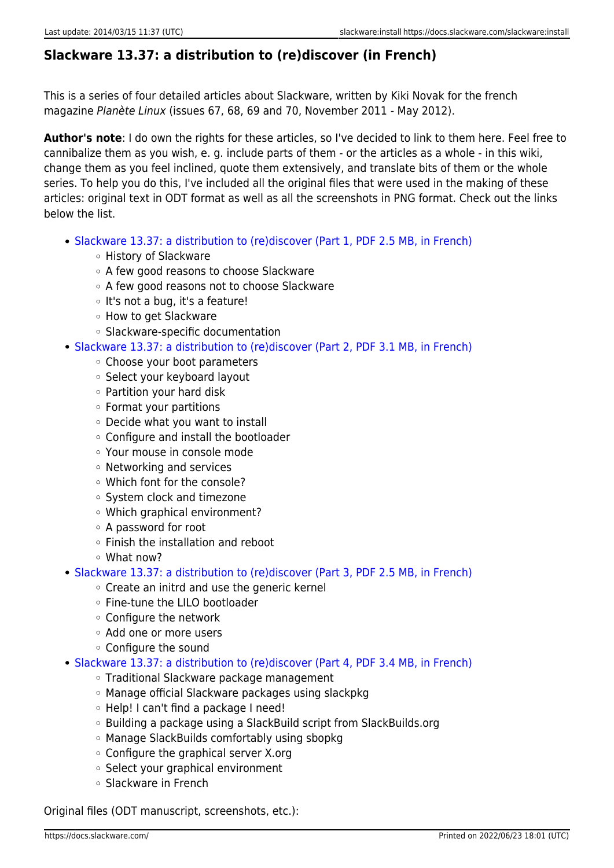## **Slackware 13.37: a distribution to (re)discover (in French)**

This is a series of four detailed articles about Slackware, written by Kiki Novak for the french magazine Planète Linux (issues 67, 68, 69 and 70, November 2011 - May 2012).

**Author's note**: I do own the rights for these articles, so I've decided to link to them here. Feel free to cannibalize them as you wish, e. g. include parts of them - or the articles as a whole - in this wiki, change them as you feel inclined, quote them extensively, and translate bits of them or the whole series. To help you do this, I've included all the original files that were used in the making of these articles: original text in ODT format as well as all the screenshots in PNG format. Check out the links below the list.

- [Slackware 13.37: a distribution to \(re\)discover \(Part 1, PDF 2.5 MB, in French\)](http://microlinux.fr/articles/slackware1.pdf)
	- History of Slackware
	- A few good reasons to choose Slackware
	- A few good reasons not to choose Slackware
	- o It's not a bug, it's a feature!
	- How to get Slackware
	- Slackware-specific documentation
- [Slackware 13.37: a distribution to \(re\)discover \(Part 2, PDF 3.1 MB, in French\)](http://microlinux.fr/articles/slackware2.pdf)
	- Choose your boot parameters
	- o Select your keyboard layout
	- Partition your hard disk
	- Format your partitions
	- Decide what you want to install
	- Configure and install the bootloader
	- Your mouse in console mode
	- Networking and services
	- Which font for the console?
	- System clock and timezone
	- Which graphical environment?
	- A password for root
	- Finish the installation and reboot
	- What now?
- [Slackware 13.37: a distribution to \(re\)discover \(Part 3, PDF 2.5 MB, in French\)](http://microlinux.fr/articles/slackware3.pdf)
	- Create an initrd and use the generic kernel
	- Fine-tune the LILO bootloader
	- Configure the network
	- Add one or more users
	- Configure the sound
- [Slackware 13.37: a distribution to \(re\)discover \(Part 4, PDF 3.4 MB, in French\)](http://microlinux.fr/articles/slackware4.pdf)
	- Traditional Slackware package management
	- Manage official Slackware packages using slackpkg
	- Help! I can't find a package I need!
	- Building a package using a SlackBuild script from SlackBuilds.org
	- Manage SlackBuilds comfortably using sbopkg
	- Configure the graphical server X.org
	- Select your graphical environment
	- Slackware in French

Original files (ODT manuscript, screenshots, etc.):